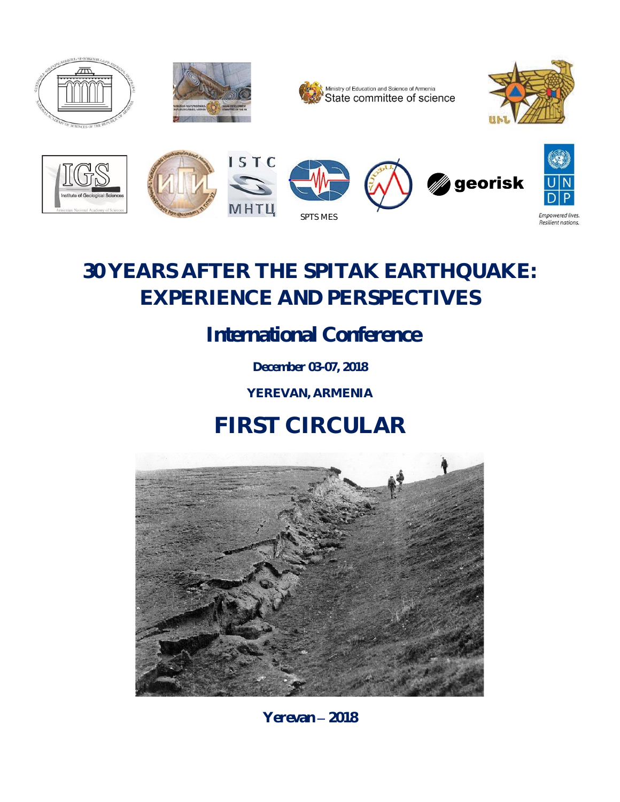

# **30 YEARS AFTER THE SPITAK EARTHQUAKE: EXPERIENCE AND PERSPECTIVES**

*International Conference*

**December 03-07, 2018**

**YEREVAN, ARMENIA**

# **FIRST CIRCULAR**



**Yerevan** – **2018**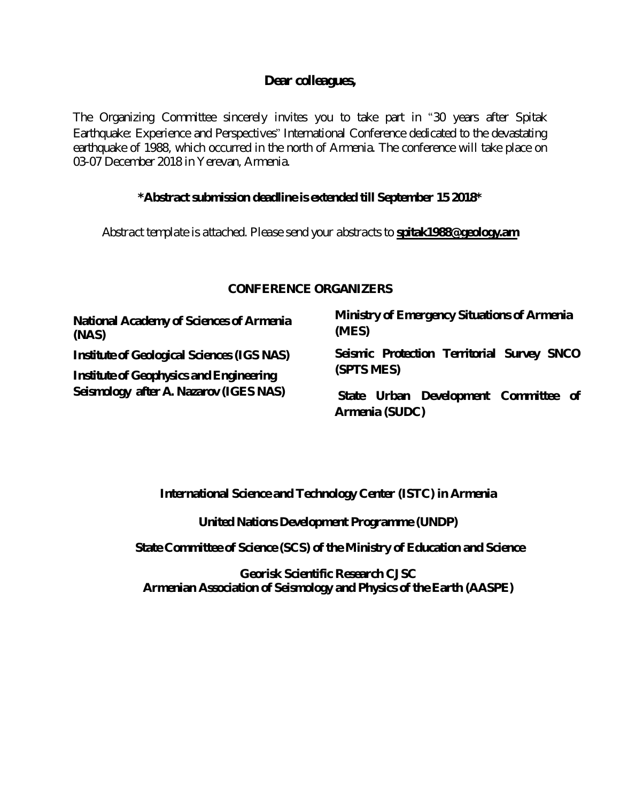#### **Dear colleagues,**

The Organizing Committee sincerely invites you to take part in "30 years after Spitak Earthquake: Experience and Perspectives" International Conference dedicated to the devastating earthquake of 1988, which occurred in the north of Armenia. The conference will take place on 03-07 December 2018 in Yerevan, Armenia.

#### **\*Abstract submission deadlineisextended till September 15 2018\***

*Abstract template is attached. Please send your abstracts to spitak1988@geology.am*

#### *CONFERENCE ORGANIZERS*

**National Academy of Sciences of Armenia (NAS)** *Institute of Geological Sciences (IGS NAS) Institute of Geophysics and Engineering Seismology after A. Nazarov (IGES NAS)*

**Ministry of Emergency Situations of Armenia (MES)** *Seismic Protection Territorial Survey SNCO (SPTS MES)*

**State Urban Development Committee of Armenia (SUDC)**

**International Science and Technology Center (ISTC) in Armenia**

**[United Nations Development Programme](http://www.un.am/en/agency/UNDP) (UNDP)**

**State Committee of Science (SCS) of theMinistry of Education and Science**

**Georisk Scientific Research CJSC Armenian Association of Seismology and Physics of the Earth (AASPE)**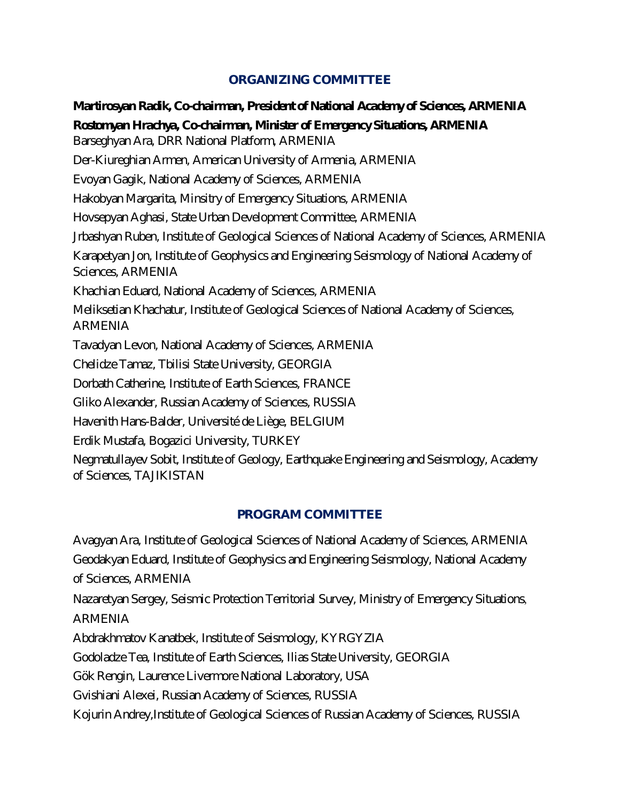#### **ORGANIZING COMMITTEE**

*Martirosyan Radik, Co-chairman, President of National Academy of Sciences, ARMENIA Rostomyan Hrachya, Co-chairman, Minister of Emergency Situations, ARMENIA* Barseghyan Ara, DRR National Platform, ARMENIA Der-Kiureghian Armen, American University of Armenia, ARMENIA Evoyan Gagik, National Academy of Sciences, ARMENIA Hakobyan Margarita, Minsitry of Emergency Situations, ARMENIA Hovsepyan Aghasi, State Urban Development Committee, ARMENIA Jrbashyan Ruben, Institute of Geological Sciences of National Academy of Sciences, ARMENIA Karapetyan Jon, Institute of Geophysics and Engineering Seismology of National Academy of Sciences, ARMENIA Khachian Eduard, National Academy of Sciences, ARMENIA Melik setian K hach atur, Institute of Geological Sciences of National A cademy of Sciences, **ARMENIA** Tavadyan Levon, National Academy of Sciences, ARMENIA Chelidze Tamaz, Tbilisi State University, GEORGIA Dorbath Catherine, Institute of Earth Sciences, FRANCE Gliko Alexander, Russian Academy of Sciences, RUSSIA Havenith Hans-Balder, Université de Liège, BEL GIUM Erdik Mustafa, Bogazici University, TURKEY Negmatullayev Sobit, Institute of Geology, Earthquake Engineering and Seismology, Academy of Sciences, TAJIKISTAN

#### **PROGRAM COMMITTEE**

Avagyan Ara, Institute of Geological Sciences of National Academy of Sciences, ARMENIA Geodakyan Eduard, Institute of Geophysics and Engineering Seismology, National Academy of Sciences, ARMENIA

Nazaretyan Sergey, Seismic Protection Territorial Survey, Ministry of Emergency Situations,

**ARMENIA** 

Abdrakhmatov Kanatbek, Institute of Seismology, KYRGYZIA

Godoladze Tea, Institute of Earth Sciences, Ilias State University, GEORGIA

Gök Rengin, Laurence Livermore National Laboratory, USA

Gvishiani Alexei, Russian Academy of Sciences, RUSSIA

K ojurin Andrey, Institute of Geological Sciences of Russian A cade my of Sciences, RUSSIA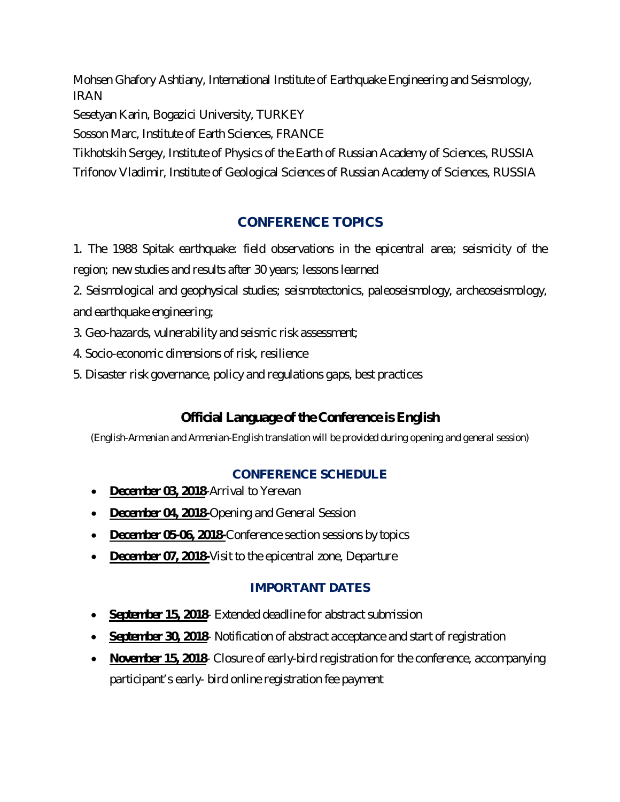Mohsen Ghafory Ashtiany, International Institute of Earthquake Engineering and Seismology, **IRAN** 

Sesetyan Karin, Bogazici University, TURKEY

Sosson Marc, Institute of Earth Sciences, FRANCE

Tikhotskih Sergey, Institute of Physics of the Earth of Russian Academy of Sciences, RUSSIA

Trifonov Vladimir, Institute of Geological Sciences of Russian Academy of Sciences, RUSSIA

## **CONFERENCE TOPICS**

*1. The 1988 Spitak earthquake: field observations in the epicentral area; seismicity of the region; new studies and results after 30 years; lessons learned*

*2. Seismological and geophysical studies; seismotectonics, paleoseismology, archeoseismology, and earthquake engineering;*

*3. Geo-hazards, vulnerability and seismic risk assessment;*

*4. Socio-economic dimensions of risk, resilience* 

*5. Disaster risk governance, policy and regulations gaps, best practices*

## *Official Language of the Conference is English*

*(English-Armenian and Armenian-English translation will be provided during opening and general session)*

## **CONFERENCE SCHEDULE**

- *December 03, 2018-Arrival to Yerevan*
- *December 04, 2018-Opening and General Session*
- *December 05-06, 2018-Conference section sessions by topics*
- *December 07, 2018-Visit to the epicentral zone, Departure*

## **IMPORTANT DATES**

- *September 15, 2018- Extended deadline for abstract submission*
- *September 30, 2018- Notification of abstract acceptance and start of registration*
- *November 15, 2018- Closure of early-bird registration for the conference, accompanying participant's early- bird online registration fee payment*